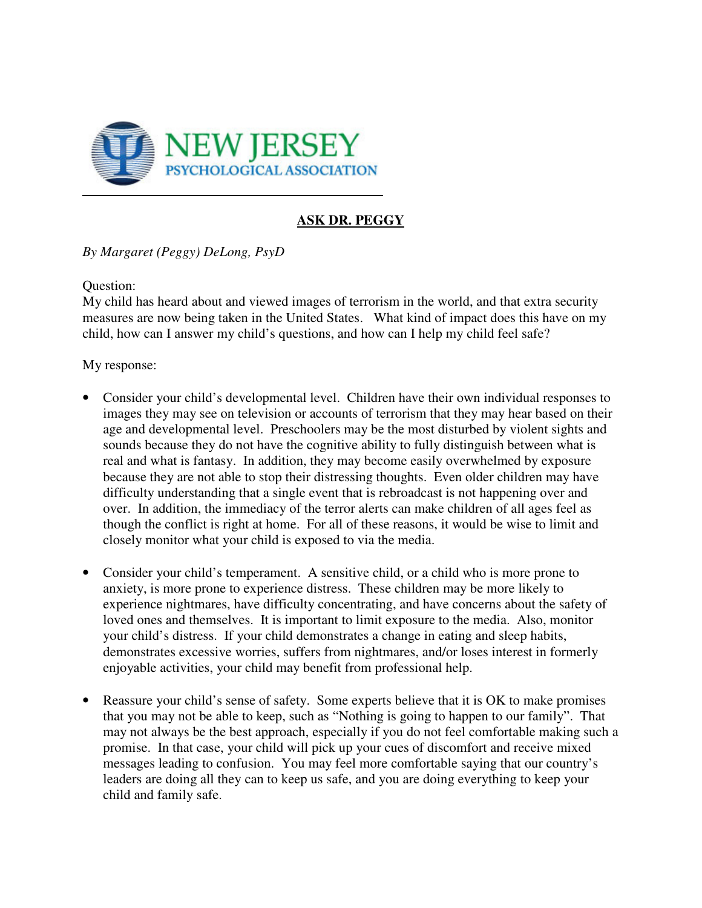

## **ASK DR. PEGGY**

*By Margaret (Peggy) DeLong, PsyD* 

Question:

My child has heard about and viewed images of terrorism in the world, and that extra security measures are now being taken in the United States. What kind of impact does this have on my child, how can I answer my child's questions, and how can I help my child feel safe?

My response:

- Consider your child's developmental level. Children have their own individual responses to images they may see on television or accounts of terrorism that they may hear based on their age and developmental level. Preschoolers may be the most disturbed by violent sights and sounds because they do not have the cognitive ability to fully distinguish between what is real and what is fantasy. In addition, they may become easily overwhelmed by exposure because they are not able to stop their distressing thoughts. Even older children may have difficulty understanding that a single event that is rebroadcast is not happening over and over. In addition, the immediacy of the terror alerts can make children of all ages feel as though the conflict is right at home. For all of these reasons, it would be wise to limit and closely monitor what your child is exposed to via the media.
- Consider your child's temperament. A sensitive child, or a child who is more prone to anxiety, is more prone to experience distress. These children may be more likely to experience nightmares, have difficulty concentrating, and have concerns about the safety of loved ones and themselves. It is important to limit exposure to the media. Also, monitor your child's distress. If your child demonstrates a change in eating and sleep habits, demonstrates excessive worries, suffers from nightmares, and/or loses interest in formerly enjoyable activities, your child may benefit from professional help.
- Reassure your child's sense of safety. Some experts believe that it is OK to make promises that you may not be able to keep, such as "Nothing is going to happen to our family". That may not always be the best approach, especially if you do not feel comfortable making such a promise. In that case, your child will pick up your cues of discomfort and receive mixed messages leading to confusion. You may feel more comfortable saying that our country's leaders are doing all they can to keep us safe, and you are doing everything to keep your child and family safe.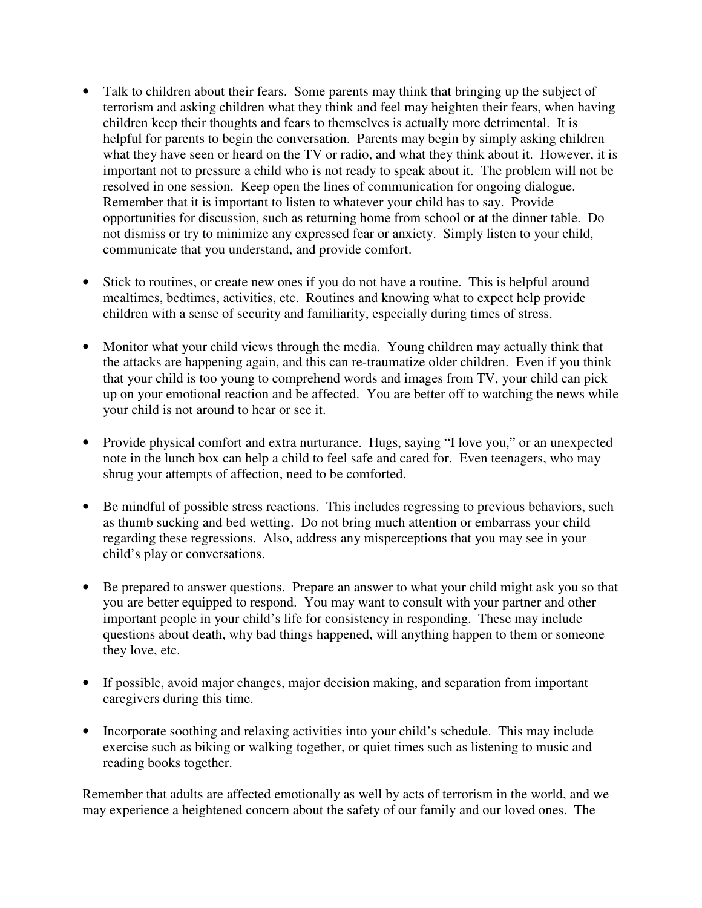- Talk to children about their fears. Some parents may think that bringing up the subject of terrorism and asking children what they think and feel may heighten their fears, when having children keep their thoughts and fears to themselves is actually more detrimental. It is helpful for parents to begin the conversation. Parents may begin by simply asking children what they have seen or heard on the TV or radio, and what they think about it. However, it is important not to pressure a child who is not ready to speak about it. The problem will not be resolved in one session. Keep open the lines of communication for ongoing dialogue. Remember that it is important to listen to whatever your child has to say. Provide opportunities for discussion, such as returning home from school or at the dinner table. Do not dismiss or try to minimize any expressed fear or anxiety. Simply listen to your child, communicate that you understand, and provide comfort.
- Stick to routines, or create new ones if you do not have a routine. This is helpful around mealtimes, bedtimes, activities, etc. Routines and knowing what to expect help provide children with a sense of security and familiarity, especially during times of stress.
- Monitor what your child views through the media. Young children may actually think that the attacks are happening again, and this can re-traumatize older children. Even if you think that your child is too young to comprehend words and images from TV, your child can pick up on your emotional reaction and be affected. You are better off to watching the news while your child is not around to hear or see it.
- Provide physical comfort and extra nurturance. Hugs, saying "I love you," or an unexpected note in the lunch box can help a child to feel safe and cared for. Even teenagers, who may shrug your attempts of affection, need to be comforted.
- Be mindful of possible stress reactions. This includes regressing to previous behaviors, such as thumb sucking and bed wetting. Do not bring much attention or embarrass your child regarding these regressions. Also, address any misperceptions that you may see in your child's play or conversations.
- Be prepared to answer questions. Prepare an answer to what your child might ask you so that you are better equipped to respond. You may want to consult with your partner and other important people in your child's life for consistency in responding. These may include questions about death, why bad things happened, will anything happen to them or someone they love, etc.
- If possible, avoid major changes, major decision making, and separation from important caregivers during this time.
- Incorporate soothing and relaxing activities into your child's schedule. This may include exercise such as biking or walking together, or quiet times such as listening to music and reading books together.

Remember that adults are affected emotionally as well by acts of terrorism in the world, and we may experience a heightened concern about the safety of our family and our loved ones. The